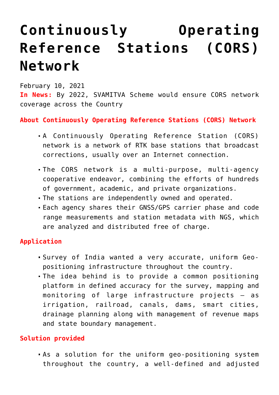# **[Continuously Operating](https://journalsofindia.com/continuously-operating-reference-stations-cors-network/) [Reference Stations \(CORS\)](https://journalsofindia.com/continuously-operating-reference-stations-cors-network/) [Network](https://journalsofindia.com/continuously-operating-reference-stations-cors-network/)**

February 10, 2021 **In News:** By 2022, SVAMITVA Scheme would ensure CORS network coverage across the Country

### **About Continuously Operating Reference Stations (CORS) Network**

- A Continuously Operating Reference Station (CORS) network is a network of RTK base stations that broadcast corrections, usually over an Internet connection.
- The CORS network is a multi-purpose, multi-agency cooperative endeavor, combining the efforts of hundreds of government, academic, and private organizations.
- The stations are independently owned and operated.
- Each agency shares their GNSS/GPS carrier phase and code range measurements and station metadata with NGS, which are analyzed and distributed free of charge.

#### **Application**

- Survey of India wanted a very accurate, uniform Geopositioning infrastructure throughout the country.
- The idea behind is to provide a common positioning platform in defined accuracy for the survey, mapping and monitoring of large infrastructure projects – as irrigation, railroad, canals, dams, smart cities, drainage planning along with management of revenue maps and state boundary management.

## **Solution provided**

As a solution for the uniform geo-positioning system throughout the country, a well-defined and adjusted